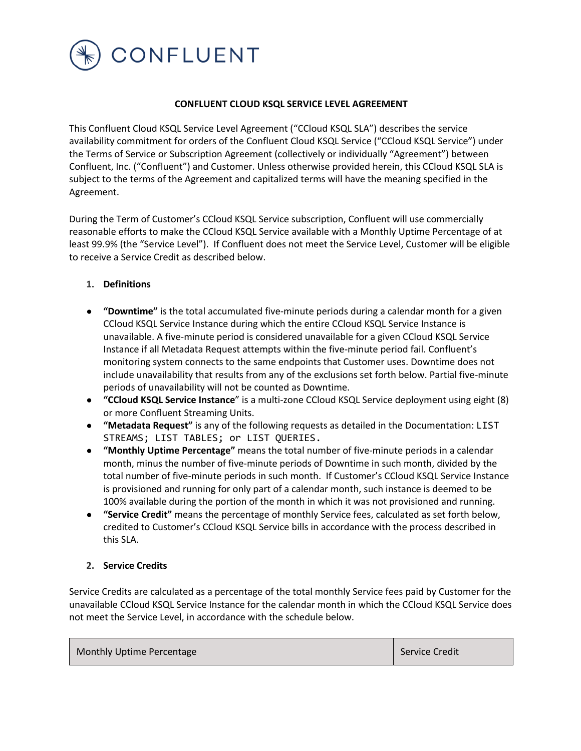

### **CONFLUENT CLOUD KSQL SERVICE LEVEL AGREEMENT**

This Confluent Cloud KSQL Service Level Agreement ("CCloud KSQL SLA") describes the service availability commitment for orders of the Confluent Cloud KSQL Service ("CCloud KSQL Service") under the Terms of Service or Subscription Agreement (collectively or individually "Agreement") between Confluent, Inc. ("Confluent") and Customer. Unless otherwise provided herein, this CCloud KSQL SLA is subject to the terms of the Agreement and capitalized terms will have the meaning specified in the Agreement.

During the Term of Customer's CCloud KSQL Service subscription, Confluent will use commercially reasonable efforts to make the CCloud KSQL Service available with a Monthly Uptime Percentage of at least 99.9% (the "Service Level"). If Confluent does not meet the Service Level, Customer will be eligible to receive a Service Credit as described below.

### **1. Definitions**

- **"Downtime"** is the total accumulated five-minute periods during a calendar month for a given CCloud KSQL Service Instance during which the entire CCloud KSQL Service Instance is unavailable. A five-minute period is considered unavailable for a given CCloud KSQL Service Instance if all Metadata Request attempts within the five-minute period fail. Confluent's monitoring system connects to the same endpoints that Customer uses. Downtime does not include unavailability that results from any of the exclusions set forth below. Partial five-minute periods of unavailability will not be counted as Downtime.
- **"CCloud KSQL Service Instance**" is a multi-zone CCloud KSQL Service deployment using eight (8) or more Confluent Streaming Units.
- **"Metadata Request"** is any of the following requests as detailed in the Documentation: LIST STREAMS; LIST TABLES; or LIST QUERIES.
- **"Monthly Uptime Percentage"** means the total number of five-minute periods in a calendar month, minus the number of five-minute periods of Downtime in such month, divided by the total number of five-minute periods in such month. If Customer's CCloud KSQL Service Instance is provisioned and running for only part of a calendar month, such instance is deemed to be 100% available during the portion of the month in which it was not provisioned and running.
- **"Service Credit"** means the percentage of monthly Service fees, calculated as set forth below, credited to Customer's CCloud KSQL Service bills in accordance with the process described in this SLA.

### **2. Service Credits**

Service Credits are calculated as a percentage of the total monthly Service fees paid by Customer for the unavailable CCloud KSQL Service Instance for the calendar month in which the CCloud KSQL Service does not meet the Service Level, in accordance with the schedule below.

| Monthly Uptime Percentage | Service Credit |
|---------------------------|----------------|
|---------------------------|----------------|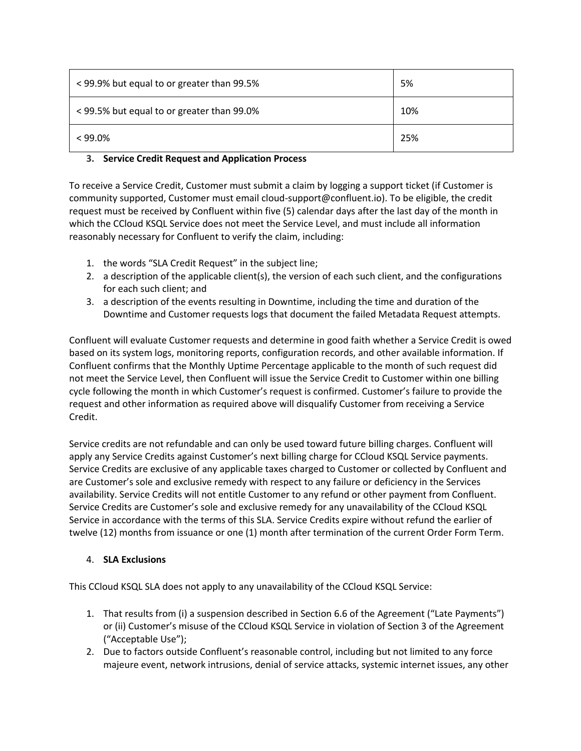| < 99.9% but equal to or greater than 99.5% | 5%  |
|--------------------------------------------|-----|
| < 99.5% but equal to or greater than 99.0% | 10% |
| $< 99.0\%$                                 | 25% |

# **3. Service Credit Request and Application Process**

To receive a Service Credit, Customer must submit a claim by logging a support ticket (if Customer is community supported, Customer must email cloud-support@confluent.io). To be eligible, the credit request must be received by Confluent within five (5) calendar days after the last day of the month in which the CCloud KSQL Service does not meet the Service Level, and must include all information reasonably necessary for Confluent to verify the claim, including:

- 1. the words "SLA Credit Request" in the subject line;
- 2. a description of the applicable client(s), the version of each such client, and the configurations for each such client; and
- 3. a description of the events resulting in Downtime, including the time and duration of the Downtime and Customer requests logs that document the failed Metadata Request attempts.

Confluent will evaluate Customer requests and determine in good faith whether a Service Credit is owed based on its system logs, monitoring reports, configuration records, and other available information. If Confluent confirms that the Monthly Uptime Percentage applicable to the month of such request did not meet the Service Level, then Confluent will issue the Service Credit to Customer within one billing cycle following the month in which Customer's request is confirmed. Customer's failure to provide the request and other information as required above will disqualify Customer from receiving a Service Credit.

Service credits are not refundable and can only be used toward future billing charges. Confluent will apply any Service Credits against Customer's next billing charge for CCloud KSQL Service payments. Service Credits are exclusive of any applicable taxes charged to Customer or collected by Confluent and are Customer's sole and exclusive remedy with respect to any failure or deficiency in the Services availability. Service Credits will not entitle Customer to any refund or other payment from Confluent. Service Credits are Customer's sole and exclusive remedy for any unavailability of the CCloud KSQL Service in accordance with the terms of this SLA. Service Credits expire without refund the earlier of twelve (12) months from issuance or one (1) month after termination of the current Order Form Term.

## 4. **SLA Exclusions**

This CCloud KSQL SLA does not apply to any unavailability of the CCloud KSQL Service:

- 1. That results from (i) a suspension described in Section 6.6 of the Agreement ("Late Payments") or (ii) Customer's misuse of the CCloud KSQL Service in violation of Section 3 of the Agreement ("Acceptable Use");
- 2. Due to factors outside Confluent's reasonable control, including but not limited to any force majeure event, network intrusions, denial of service attacks, systemic internet issues, any other